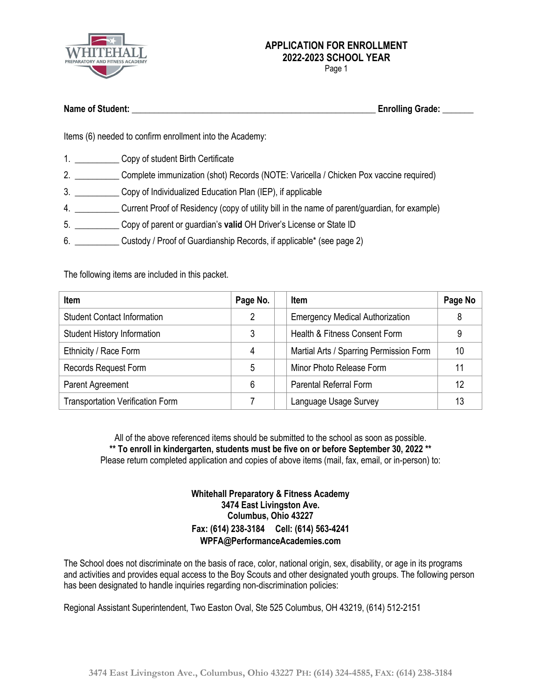

Page 1

| <b>Name of Student:</b> | <b>Enrolling Grade:</b> |  |
|-------------------------|-------------------------|--|
|                         |                         |  |

Items (6) needed to confirm enrollment into the Academy:

- 1. Copy of student Birth Certificate
- 2. \_\_\_\_\_\_\_\_\_\_ Complete immunization (shot) Records (NOTE: Varicella / Chicken Pox vaccine required)
- 3. \_\_\_\_\_\_\_\_\_\_ Copy of Individualized Education Plan (IEP), if applicable
- 4. \_\_\_\_\_\_\_\_\_\_ Current Proof of Residency (copy of utility bill in the name of parent/guardian, for example)
- 5. \_\_\_\_\_\_\_\_\_\_ Copy of parent or guardian's **valid** OH Driver's License or State ID
- 6. \_\_\_\_\_\_\_\_\_\_ Custody / Proof of Guardianship Records, if applicable\* (see page 2)

The following items are included in this packet.

| <b>Item</b>                             | Page No. | <b>Item</b>                             | Page No |
|-----------------------------------------|----------|-----------------------------------------|---------|
| <b>Student Contact Information</b>      | 2        | <b>Emergency Medical Authorization</b>  | 8       |
| <b>Student History Information</b>      | 3        | Health & Fitness Consent Form           | 9       |
| Ethnicity / Race Form                   | 4        | Martial Arts / Sparring Permission Form | 10      |
| Records Request Form                    | 5        | Minor Photo Release Form                |         |
| Parent Agreement                        | 6        | <b>Parental Referral Form</b>           | 12      |
| <b>Transportation Verification Form</b> |          | Language Usage Survey                   | 13      |

All of the above referenced items should be submitted to the school as soon as possible. **\*\* To enroll in kindergarten, students must be five on or before September 30, 2022 \*\*** Please return completed application and copies of above items (mail, fax, email, or in-person) to:

#### **Whitehall Preparatory & Fitness Academy 3474 East Livingston Ave. Columbus, Ohio 43227 Fax: (614) 238-3184 Cell: (614) 563-4241 WPFA@PerformanceAcademies.com**

The School does not discriminate on the basis of race, color, national origin, sex, disability, or age in its programs and activities and provides equal access to the Boy Scouts and other designated youth groups. The following person has been designated to handle inquiries regarding non-discrimination policies:

Regional Assistant Superintendent, Two Easton Oval, Ste 525 Columbus, OH 43219, (614) 512-2151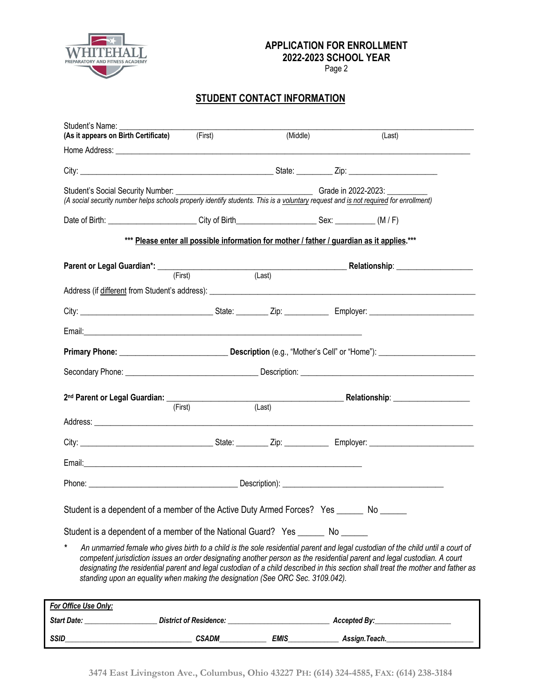

Page 2

## **STUDENT CONTACT INFORMATION**

| Student's Name:<br>(As it appears on Birth Certificate) (First)                                                                                                                                                                          |                                                                                            | (Middle)            |              | (Last)                                                                                                                                                                                                                                                                                                                                                                                          |
|------------------------------------------------------------------------------------------------------------------------------------------------------------------------------------------------------------------------------------------|--------------------------------------------------------------------------------------------|---------------------|--------------|-------------------------------------------------------------------------------------------------------------------------------------------------------------------------------------------------------------------------------------------------------------------------------------------------------------------------------------------------------------------------------------------------|
|                                                                                                                                                                                                                                          |                                                                                            |                     |              |                                                                                                                                                                                                                                                                                                                                                                                                 |
|                                                                                                                                                                                                                                          |                                                                                            |                     |              |                                                                                                                                                                                                                                                                                                                                                                                                 |
| Student's Social Security Number: __________<br>(A social security number helps schools properly identify students. This is a voluntary request and is not required for enrollment)                                                      |                                                                                            | Grade in 2022-2023: |              |                                                                                                                                                                                                                                                                                                                                                                                                 |
| Date of Birth: (M/F) City of Birth Canada Context: Case CM/F)                                                                                                                                                                            |                                                                                            |                     |              |                                                                                                                                                                                                                                                                                                                                                                                                 |
|                                                                                                                                                                                                                                          | *** Please enter all possible information for mother / father / guardian as it applies.*** |                     |              |                                                                                                                                                                                                                                                                                                                                                                                                 |
| Parent or Legal Guardian*: <u>(First)</u> (Example 2014) (Last) Relationship: 2014 Relationship: 2014)                                                                                                                                   |                                                                                            |                     |              |                                                                                                                                                                                                                                                                                                                                                                                                 |
|                                                                                                                                                                                                                                          |                                                                                            |                     |              |                                                                                                                                                                                                                                                                                                                                                                                                 |
|                                                                                                                                                                                                                                          |                                                                                            |                     |              |                                                                                                                                                                                                                                                                                                                                                                                                 |
|                                                                                                                                                                                                                                          |                                                                                            |                     |              |                                                                                                                                                                                                                                                                                                                                                                                                 |
|                                                                                                                                                                                                                                          |                                                                                            |                     |              |                                                                                                                                                                                                                                                                                                                                                                                                 |
|                                                                                                                                                                                                                                          |                                                                                            |                     |              |                                                                                                                                                                                                                                                                                                                                                                                                 |
| 2 <sup>nd</sup> Parent or Legal Guardian: (First) (Last) (Last) Relationship: 2014 Relationship: 2014 Relationship: 2014 Relationship: 2014 Relationship: 2014 Relationship: 2014 Relationship: 2014 Relationship: 2014 Relationship: 20 |                                                                                            |                     |              |                                                                                                                                                                                                                                                                                                                                                                                                 |
|                                                                                                                                                                                                                                          | (First)                                                                                    |                     |              |                                                                                                                                                                                                                                                                                                                                                                                                 |
|                                                                                                                                                                                                                                          |                                                                                            |                     |              |                                                                                                                                                                                                                                                                                                                                                                                                 |
|                                                                                                                                                                                                                                          |                                                                                            |                     |              |                                                                                                                                                                                                                                                                                                                                                                                                 |
|                                                                                                                                                                                                                                          |                                                                                            |                     |              |                                                                                                                                                                                                                                                                                                                                                                                                 |
|                                                                                                                                                                                                                                          |                                                                                            |                     |              |                                                                                                                                                                                                                                                                                                                                                                                                 |
| Student is a dependent of a member of the Active Duty Armed Forces? Yes ______ No _____                                                                                                                                                  |                                                                                            |                     |              |                                                                                                                                                                                                                                                                                                                                                                                                 |
| Student is a dependent of a member of the National Guard? Yes ________ No _______                                                                                                                                                        |                                                                                            |                     |              |                                                                                                                                                                                                                                                                                                                                                                                                 |
| standing upon an equality when making the designation (See ORC Sec. 3109.042).                                                                                                                                                           |                                                                                            |                     |              | An unmarried female who gives birth to a child is the sole residential parent and legal custodian of the child until a court of<br>competent jurisdiction issues an order designating another person as the residential parent and legal custodian. A court<br>designating the residential parent and legal custodian of a child described in this section shall treat the mother and father as |
| For Office Use Only:                                                                                                                                                                                                                     |                                                                                            |                     |              |                                                                                                                                                                                                                                                                                                                                                                                                 |
| Start Date:                                                                                                                                                                                                                              | <b>District of Residence:</b>                                                              |                     | Accepted By: |                                                                                                                                                                                                                                                                                                                                                                                                 |

*SSID\_\_\_\_\_\_\_\_\_\_\_\_\_\_\_\_\_\_\_\_\_\_\_\_\_\_\_\_\_\_\_\_\_\_\_ CSADM\_\_\_\_\_\_\_\_\_\_\_\_\_ EMIS\_\_\_\_\_\_\_\_\_\_\_\_\_\_ Assign.Teach.\_\_\_\_\_\_\_\_\_\_\_\_\_\_\_\_\_\_\_\_\_\_\_\_*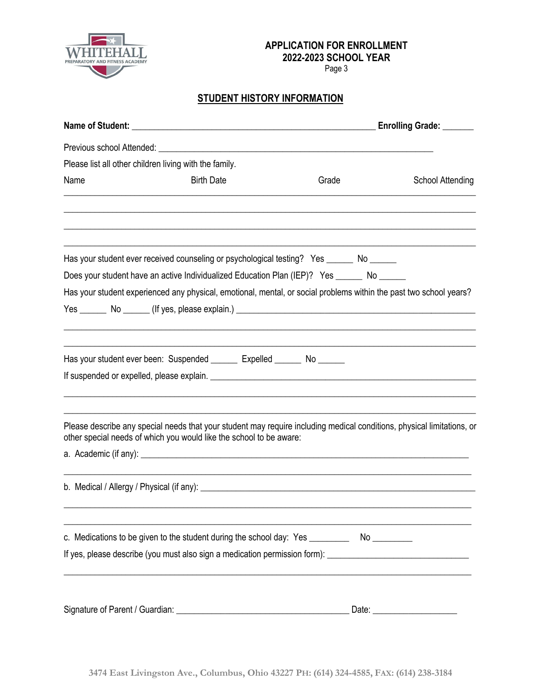

Page 3

## **STUDENT HISTORY INFORMATION**

|                                                        |                                                                                                                                                                                               |       | Enrolling Grade: ______ |
|--------------------------------------------------------|-----------------------------------------------------------------------------------------------------------------------------------------------------------------------------------------------|-------|-------------------------|
|                                                        |                                                                                                                                                                                               |       |                         |
| Please list all other children living with the family. |                                                                                                                                                                                               |       |                         |
| Name                                                   | <b>Birth Date</b>                                                                                                                                                                             | Grade | <b>School Attending</b> |
|                                                        |                                                                                                                                                                                               |       |                         |
|                                                        | Has your student ever received counseling or psychological testing? Yes ______ No ______                                                                                                      |       |                         |
|                                                        | Does your student have an active Individualized Education Plan (IEP)? Yes ______ No _____                                                                                                     |       |                         |
|                                                        | Has your student experienced any physical, emotional, mental, or social problems within the past two school years?                                                                            |       |                         |
|                                                        |                                                                                                                                                                                               |       |                         |
|                                                        |                                                                                                                                                                                               |       |                         |
|                                                        | Has your student ever been: Suspended _______ Expelled ______ No ______                                                                                                                       |       |                         |
|                                                        |                                                                                                                                                                                               |       |                         |
|                                                        | Please describe any special needs that your student may require including medical conditions, physical limitations, or<br>other special needs of which you would like the school to be aware: |       |                         |
|                                                        |                                                                                                                                                                                               |       |                         |
|                                                        |                                                                                                                                                                                               |       |                         |
|                                                        | c. Medications to be given to the student during the school day: Yes ___________ No _________                                                                                                 |       |                         |
|                                                        | If yes, please describe (you must also sign a medication permission form): ___________________________________                                                                                |       |                         |
|                                                        |                                                                                                                                                                                               |       |                         |
|                                                        |                                                                                                                                                                                               |       |                         |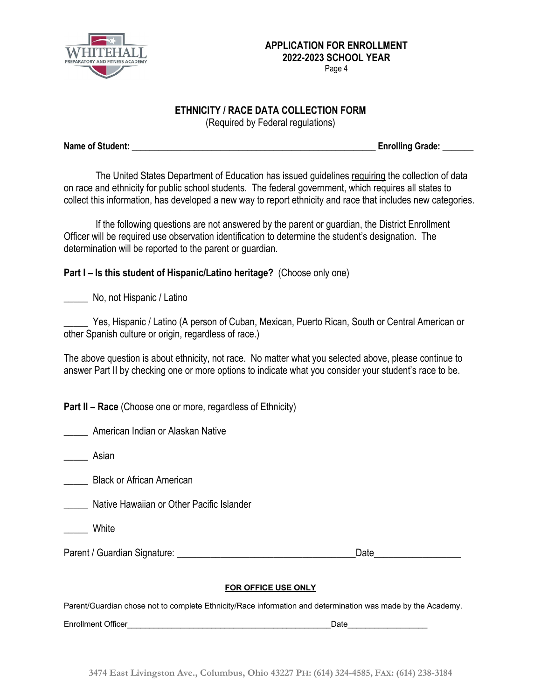

#### **ETHNICITY / RACE DATA COLLECTION FORM**

(Required by Federal regulations)

**Name of Student: \_\_\_\_\_\_\_\_\_\_\_\_\_\_\_\_\_\_\_\_\_\_\_\_\_\_\_\_\_\_\_\_\_\_\_\_\_\_\_\_\_\_\_\_\_\_\_\_\_\_\_\_\_\_\_ Enrolling Grade: \_\_\_\_\_\_\_**

The United States Department of Education has issued guidelines requiring the collection of data on race and ethnicity for public school students. The federal government, which requires all states to collect this information, has developed a new way to report ethnicity and race that includes new categories.

If the following questions are not answered by the parent or guardian, the District Enrollment Officer will be required use observation identification to determine the student's designation. The determination will be reported to the parent or guardian.

## **Part I – Is this student of Hispanic/Latino heritage?** (Choose only one)

\_\_\_\_\_ No, not Hispanic / Latino

Yes, Hispanic / Latino (A person of Cuban, Mexican, Puerto Rican, South or Central American or other Spanish culture or origin, regardless of race.)

The above question is about ethnicity, not race. No matter what you selected above, please continue to answer Part II by checking one or more options to indicate what you consider your student's race to be.

**Part II – Race** (Choose one or more, regardless of Ethnicity)

\_\_\_\_\_ American Indian or Alaskan Native

\_\_\_\_\_ Asian

\_\_\_\_\_ Black or African American

\_\_\_\_\_ Native Hawaiian or Other Pacific Islander

**White** 

Parent / Guardian Signature: \_\_\_\_\_\_\_\_\_\_\_\_\_\_\_\_\_\_\_\_\_\_\_\_\_\_\_\_\_\_\_\_\_\_\_\_\_Date\_\_\_\_\_\_\_\_\_\_\_\_\_\_\_\_\_\_

#### **FOR OFFICE USE ONLY**

Parent/Guardian chose not to complete Ethnicity/Race information and determination was made by the Academy.

Enrollment Officer **Enrollment Officer**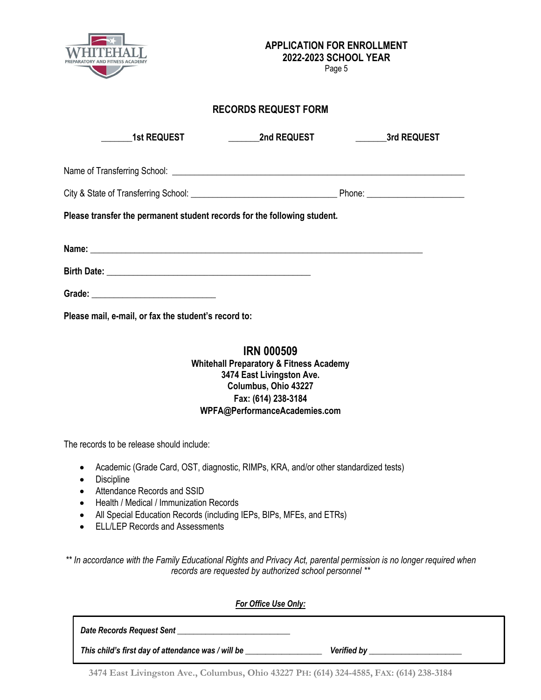

Page 5

## **RECORDS REQUEST FORM**

| <b>1st REQUEST</b>                                                       | <b>Example 2nd REQUEST</b> | <b>Example 25 Start Street 3rd REQUEST</b> |  |  |  |
|--------------------------------------------------------------------------|----------------------------|--------------------------------------------|--|--|--|
|                                                                          |                            |                                            |  |  |  |
|                                                                          |                            |                                            |  |  |  |
| Please transfer the permanent student records for the following student. |                            |                                            |  |  |  |
|                                                                          |                            |                                            |  |  |  |
|                                                                          |                            |                                            |  |  |  |
|                                                                          |                            |                                            |  |  |  |
| Please mail, e-mail, or fax the student's record to:                     |                            |                                            |  |  |  |

### **IRN 000509 Whitehall Preparatory & Fitness Academy 3474 East Livingston Ave. Columbus, Ohio 43227 Fax: (614) 238-3184 WPFA@PerformanceAcademies.com**

The records to be release should include:

- Academic (Grade Card, OST, diagnostic, RIMPs, KRA, and/or other standardized tests)
- Discipline
- Attendance Records and SSID
- Health / Medical / Immunization Records
- All Special Education Records (including IEPs, BIPs, MFEs, and ETRs)
- ELL/LEP Records and Assessments

*\*\* In accordance with the Family Educational Rights and Privacy Act, parental permission is no longer required when records are requested by authorized school personnel \*\**

| <b>For Office Use Only:</b>                        |                    |
|----------------------------------------------------|--------------------|
| Date Records Request Sent                          |                    |
| This child's first day of attendance was / will be | <b>Verified by</b> |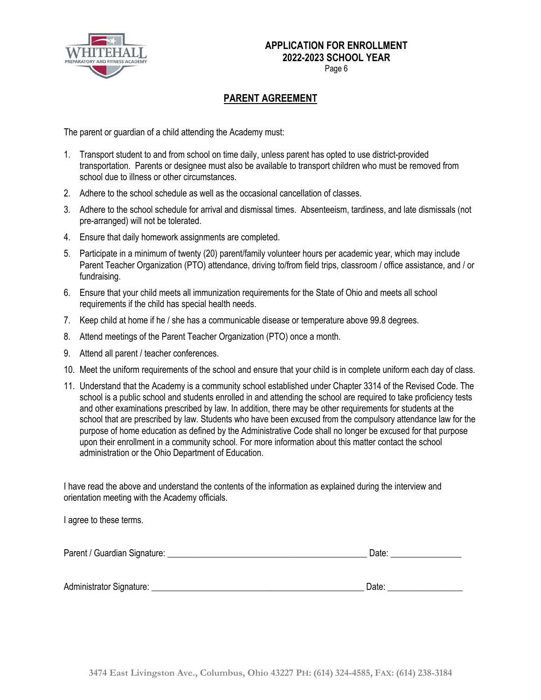

Page 6

## **PARENT AGREEMENT**

The parent or guardian of a child attending the Academy must:

- 1. Transport student to and from school on time daily, unless parent has opted to use district-provided transportation. Parents or designee must also be available to transport children who must be removed from school due to illness or other circumstances.
- 2. Adhere to the school schedule as well as the occasional cancellation of classes.
- 3. Adhere to the school schedule for arrival and dismissal times. Absenteeism, tardiness, and late dismissals (not pre-arranged) will not be tolerated.
- 4. Ensure that daily homework assignments are completed.
- 5. Participate in a minimum of twenty (20) parent/family volunteer hours per academic year, which may include Parent Teacher Organization (PTO) attendance, driving to/from field trips, classroom / office assistance, and / or fundraising.
- 6. Ensure that your child meets all immunization requirements for the State of Ohio and meets all school requirements if the child has special health needs.
- 7. Keep child at home if he / she has a communicable disease or temperature above 99.8 degrees.
- 8. Attend meetings of the Parent Teacher Organization (PTO) once a month.
- 9. Attend all parent / teacher conferences.
- 10. Meet the uniform requirements of the school and ensure that your child is in complete uniform each day of class.
- 11. Understand that the Academy is a community school established under Chapter 3314 of the Revised Code. The school is a public school and students enrolled in and attending the school are required to take proficiency tests and other examinations prescribed by law. In addition, there may be other requirements for students at the school that are prescribed by law. Students who have been excused from the compulsory attendance law for the purpose of home education as defined by the Administrative Code shall no longer be excused for that purpose upon their enrollment in a community school. For more information about this matter contact the school administration or the Ohio Department of Education.

I have read the above and understand the contents of the information as explained during the interview and orientation meeting with the Academy officials.

I agree to these terms.

| Parent / Guardian Signature: | Jate |
|------------------------------|------|
|                              |      |

Administrator Signature: \_\_\_\_\_\_\_\_\_\_\_\_\_\_\_\_\_\_\_\_\_\_\_\_\_\_\_\_\_\_\_\_\_\_\_\_\_\_\_\_\_\_\_\_\_\_\_\_ Date: \_\_\_\_\_\_\_\_\_\_\_\_\_\_\_\_\_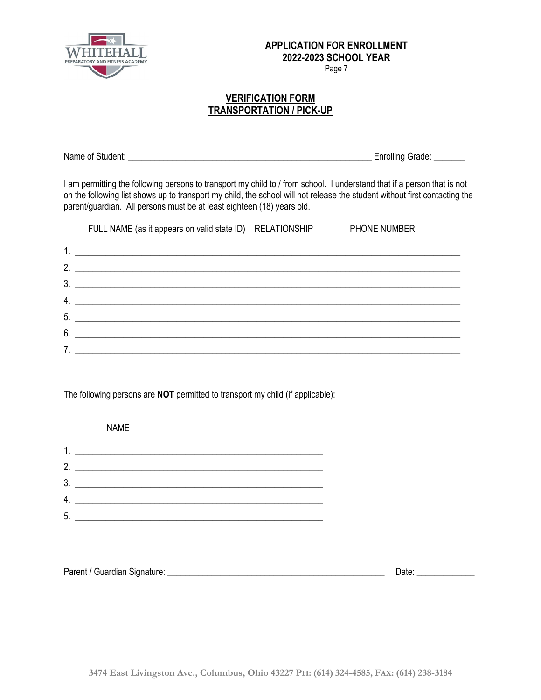

Page 7

#### **VERIFICATION FORM TRANSPORTATION / PICK-UP**

Name of Student: **Name of Student:**  $\blacksquare$ 

I am permitting the following persons to transport my child to / from school. I understand that if a person that is not on the following list shows up to transport my child, the school will not release the student without first contacting the parent/guardian. All persons must be at least eighteen (18) years old.

|    | FULL NAME (as it appears on valid state ID) RELATIONSHIP                                                              | <b>PHONE NUMBER</b> |
|----|-----------------------------------------------------------------------------------------------------------------------|---------------------|
|    |                                                                                                                       |                     |
| 2  | <u> 1989 - Andrea Albert III, poet e poet a provincia de la provincia de la provincia de la provincia de la provi</u> |                     |
| 3. |                                                                                                                       |                     |
| 4. |                                                                                                                       |                     |
|    | 5.                                                                                                                    |                     |
| 6. |                                                                                                                       |                     |
|    | <u> 1989 - John Amerikaanse kommunister († 1989)</u>                                                                  |                     |

The following persons are **NOT** permitted to transport my child (if applicable):

 NAME 1. \_\_\_\_\_\_\_\_\_\_\_\_\_\_\_\_\_\_\_\_\_\_\_\_\_\_\_\_\_\_\_\_\_\_\_\_\_\_\_\_\_\_\_\_\_\_\_\_\_\_\_\_\_\_\_\_ 2. \_\_\_\_\_\_\_\_\_\_\_\_\_\_\_\_\_\_\_\_\_\_\_\_\_\_\_\_\_\_\_\_\_\_\_\_\_\_\_\_\_\_\_\_\_\_\_\_\_\_\_\_\_\_\_\_ 3. \_\_\_\_\_\_\_\_\_\_\_\_\_\_\_\_\_\_\_\_\_\_\_\_\_\_\_\_\_\_\_\_\_\_\_\_\_\_\_\_\_\_\_\_\_\_\_\_\_\_\_\_\_\_\_\_ 4. \_\_\_\_\_\_\_\_\_\_\_\_\_\_\_\_\_\_\_\_\_\_\_\_\_\_\_\_\_\_\_\_\_\_\_\_\_\_\_\_\_\_\_\_\_\_\_\_\_\_\_\_\_\_\_\_ 5. \_\_\_\_\_\_\_\_\_\_\_\_\_\_\_\_\_\_\_\_\_\_\_\_\_\_\_\_\_\_\_\_\_\_\_\_\_\_\_\_\_\_\_\_\_\_\_\_\_\_\_\_\_\_\_\_

| Parent / Guardian Signature: | Date |
|------------------------------|------|
|                              |      |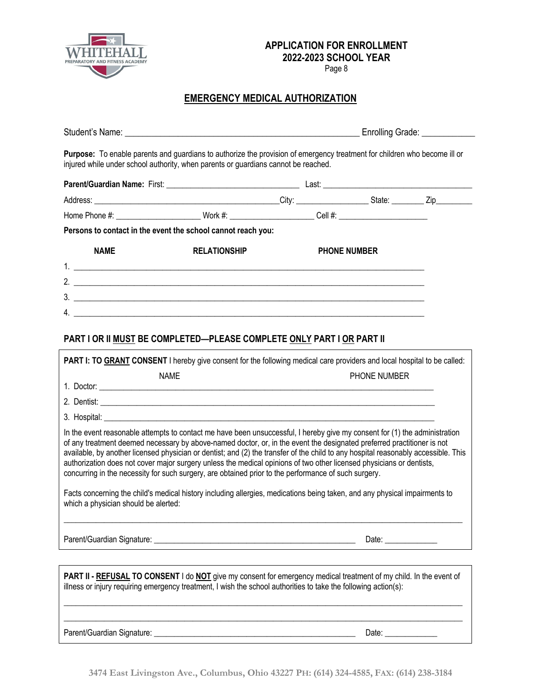

Page 8

## **EMERGENCY MEDICAL AUTHORIZATION**

| injured while under school authority, when parents or guardians cannot be reached.                                                                                                                                                                                                                                                                                                                                                                                                                                                                                                                                         |                     | Purpose: To enable parents and guardians to authorize the provision of emergency treatment for children who become ill or |                       |  |
|----------------------------------------------------------------------------------------------------------------------------------------------------------------------------------------------------------------------------------------------------------------------------------------------------------------------------------------------------------------------------------------------------------------------------------------------------------------------------------------------------------------------------------------------------------------------------------------------------------------------------|---------------------|---------------------------------------------------------------------------------------------------------------------------|-----------------------|--|
|                                                                                                                                                                                                                                                                                                                                                                                                                                                                                                                                                                                                                            |                     |                                                                                                                           |                       |  |
|                                                                                                                                                                                                                                                                                                                                                                                                                                                                                                                                                                                                                            |                     |                                                                                                                           |                       |  |
| Home Phone #: __________________________Work #: _______________________Cell #: _______________________________                                                                                                                                                                                                                                                                                                                                                                                                                                                                                                             |                     |                                                                                                                           |                       |  |
| Persons to contact in the event the school cannot reach you:                                                                                                                                                                                                                                                                                                                                                                                                                                                                                                                                                               |                     |                                                                                                                           |                       |  |
| <b>NAME</b>                                                                                                                                                                                                                                                                                                                                                                                                                                                                                                                                                                                                                | <b>RELATIONSHIP</b> | <b>PHONE NUMBER</b>                                                                                                       |                       |  |
|                                                                                                                                                                                                                                                                                                                                                                                                                                                                                                                                                                                                                            |                     |                                                                                                                           |                       |  |
| 2. $\frac{1}{2}$                                                                                                                                                                                                                                                                                                                                                                                                                                                                                                                                                                                                           |                     |                                                                                                                           |                       |  |
| 3.                                                                                                                                                                                                                                                                                                                                                                                                                                                                                                                                                                                                                         |                     |                                                                                                                           |                       |  |
| 4. $\overline{\phantom{a}}$                                                                                                                                                                                                                                                                                                                                                                                                                                                                                                                                                                                                |                     |                                                                                                                           |                       |  |
|                                                                                                                                                                                                                                                                                                                                                                                                                                                                                                                                                                                                                            |                     |                                                                                                                           |                       |  |
| PART I OR II MUST BE COMPLETED-PLEASE COMPLETE ONLY PART I OR PART II                                                                                                                                                                                                                                                                                                                                                                                                                                                                                                                                                      |                     |                                                                                                                           |                       |  |
| PART I: TO GRANT CONSENT I hereby give consent for the following medical care providers and local hospital to be called:                                                                                                                                                                                                                                                                                                                                                                                                                                                                                                   |                     |                                                                                                                           |                       |  |
| <b>NAME</b>                                                                                                                                                                                                                                                                                                                                                                                                                                                                                                                                                                                                                |                     |                                                                                                                           | <b>PHONE NUMBER</b>   |  |
|                                                                                                                                                                                                                                                                                                                                                                                                                                                                                                                                                                                                                            |                     |                                                                                                                           |                       |  |
|                                                                                                                                                                                                                                                                                                                                                                                                                                                                                                                                                                                                                            |                     |                                                                                                                           |                       |  |
|                                                                                                                                                                                                                                                                                                                                                                                                                                                                                                                                                                                                                            |                     |                                                                                                                           |                       |  |
| In the event reasonable attempts to contact me have been unsuccessful, I hereby give my consent for (1) the administration<br>of any treatment deemed necessary by above-named doctor, or, in the event the designated preferred practitioner is not<br>available, by another licensed physician or dentist; and (2) the transfer of the child to any hospital reasonably accessible. This<br>authorization does not cover major surgery unless the medical opinions of two other licensed physicians or dentists,<br>concurring in the necessity for such surgery, are obtained prior to the performance of such surgery. |                     |                                                                                                                           |                       |  |
| Facts concerning the child's medical history including allergies, medications being taken, and any physical impairments to<br>which a physician should be alerted:                                                                                                                                                                                                                                                                                                                                                                                                                                                         |                     |                                                                                                                           |                       |  |
|                                                                                                                                                                                                                                                                                                                                                                                                                                                                                                                                                                                                                            |                     |                                                                                                                           | Date: $\qquad \qquad$ |  |
| PART II - REFUSAL TO CONSENT I do NOT give my consent for emergency medical treatment of my child. In the event of<br>illness or injury requiring emergency treatment, I wish the school authorities to take the following action(s):                                                                                                                                                                                                                                                                                                                                                                                      |                     |                                                                                                                           |                       |  |

Parent/Guardian Signature: \_\_\_\_\_\_\_\_\_\_\_\_\_\_\_\_\_\_\_\_\_\_\_\_\_\_\_\_\_\_\_\_\_\_\_\_\_\_\_\_\_\_\_\_\_\_\_\_\_\_ Date: \_\_\_\_\_\_\_\_\_\_\_\_\_

 $\_$  ,  $\_$  ,  $\_$  ,  $\_$  ,  $\_$  ,  $\_$  ,  $\_$  ,  $\_$  ,  $\_$  ,  $\_$  ,  $\_$  ,  $\_$  ,  $\_$  ,  $\_$  ,  $\_$  ,  $\_$  ,  $\_$  ,  $\_$  ,  $\_$  ,  $\_$  ,  $\_$  ,  $\_$  ,  $\_$  ,  $\_$  ,  $\_$  ,  $\_$  ,  $\_$  ,  $\_$  ,  $\_$  ,  $\_$  ,  $\_$  ,  $\_$  ,  $\_$  ,  $\_$  ,  $\_$  ,  $\_$  ,  $\_$  ,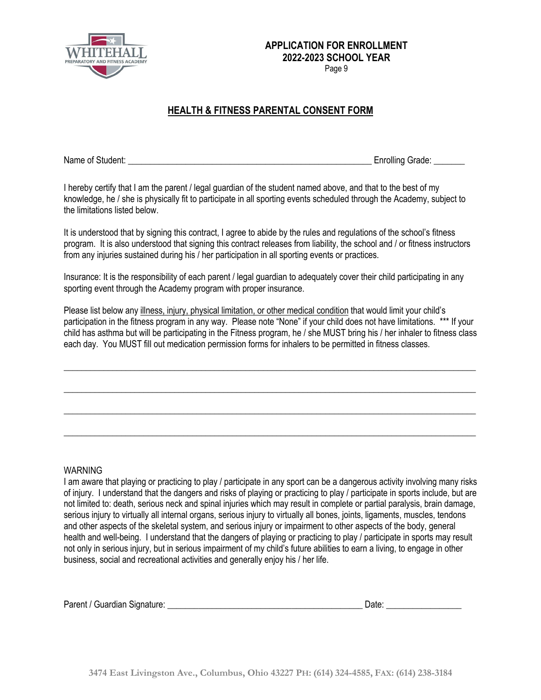

Page 9

## **HEALTH & FITNESS PARENTAL CONSENT FORM**

Name of Student: **Name of Student:**  $\blacksquare$ 

I hereby certify that I am the parent / legal guardian of the student named above, and that to the best of my knowledge, he / she is physically fit to participate in all sporting events scheduled through the Academy, subject to the limitations listed below.

It is understood that by signing this contract, I agree to abide by the rules and regulations of the school's fitness program. It is also understood that signing this contract releases from liability, the school and / or fitness instructors from any injuries sustained during his / her participation in all sporting events or practices.

Insurance: It is the responsibility of each parent / legal guardian to adequately cover their child participating in any sporting event through the Academy program with proper insurance.

Please list below any illness, injury, physical limitation, or other medical condition that would limit your child's participation in the fitness program in any way. Please note "None" if your child does not have limitations. \*\*\* If your child has asthma but will be participating in the Fitness program, he / she MUST bring his / her inhaler to fitness class each day. You MUST fill out medication permission forms for inhalers to be permitted in fitness classes.

 $\_$  ,  $\_$  ,  $\_$  ,  $\_$  ,  $\_$  ,  $\_$  ,  $\_$  ,  $\_$  ,  $\_$  ,  $\_$  ,  $\_$  ,  $\_$  ,  $\_$  ,  $\_$  ,  $\_$  ,  $\_$  ,  $\_$  ,  $\_$  ,  $\_$  ,  $\_$  ,  $\_$  ,  $\_$  ,  $\_$  ,  $\_$  ,  $\_$  ,  $\_$  ,  $\_$  ,  $\_$  ,  $\_$  ,  $\_$  ,  $\_$  ,  $\_$  ,  $\_$  ,  $\_$  ,  $\_$  ,  $\_$  ,  $\_$  ,

\_\_\_\_\_\_\_\_\_\_\_\_\_\_\_\_\_\_\_\_\_\_\_\_\_\_\_\_\_\_\_\_\_\_\_\_\_\_\_\_\_\_\_\_\_\_\_\_\_\_\_\_\_\_\_\_\_\_\_\_\_\_\_\_\_\_\_\_\_\_\_\_\_\_\_\_\_\_\_\_\_\_\_\_\_\_\_\_\_\_\_\_\_

\_\_\_\_\_\_\_\_\_\_\_\_\_\_\_\_\_\_\_\_\_\_\_\_\_\_\_\_\_\_\_\_\_\_\_\_\_\_\_\_\_\_\_\_\_\_\_\_\_\_\_\_\_\_\_\_\_\_\_\_\_\_\_\_\_\_\_\_\_\_\_\_\_\_\_\_\_\_\_\_\_\_\_\_\_\_\_\_\_\_\_\_\_

\_\_\_\_\_\_\_\_\_\_\_\_\_\_\_\_\_\_\_\_\_\_\_\_\_\_\_\_\_\_\_\_\_\_\_\_\_\_\_\_\_\_\_\_\_\_\_\_\_\_\_\_\_\_\_\_\_\_\_\_\_\_\_\_\_\_\_\_\_\_\_\_\_\_\_\_\_\_\_\_\_\_\_\_\_\_\_\_\_\_\_\_\_

#### WARNING

I am aware that playing or practicing to play / participate in any sport can be a dangerous activity involving many risks of injury. I understand that the dangers and risks of playing or practicing to play / participate in sports include, but are not limited to: death, serious neck and spinal injuries which may result in complete or partial paralysis, brain damage, serious injury to virtually all internal organs, serious injury to virtually all bones, joints, ligaments, muscles, tendons and other aspects of the skeletal system, and serious injury or impairment to other aspects of the body, general health and well-being. I understand that the dangers of playing or practicing to play / participate in sports may result not only in serious injury, but in serious impairment of my child's future abilities to earn a living, to engage in other business, social and recreational activities and generally enjoy his / her life.

| Parent / Guardian Signature: | Date |  |
|------------------------------|------|--|
|                              |      |  |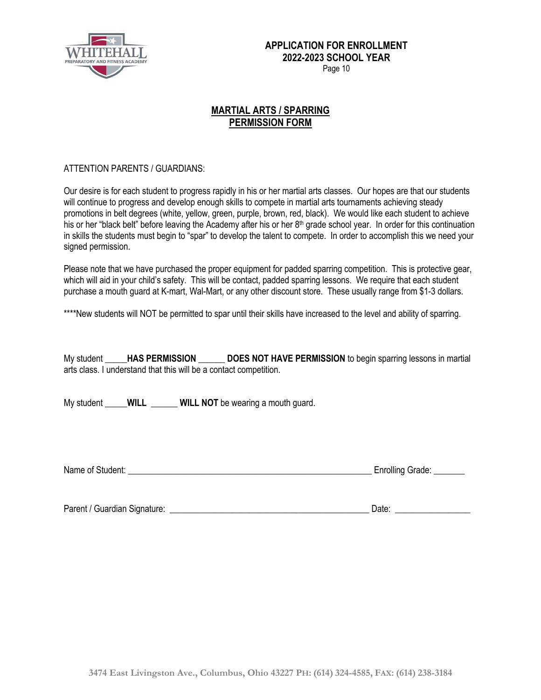

Page 10

### **MARTIAL ARTS / SPARRING PERMISSION FORM**

#### ATTENTION PARENTS / GUARDIANS:

Our desire is for each student to progress rapidly in his or her martial arts classes. Our hopes are that our students will continue to progress and develop enough skills to compete in martial arts tournaments achieving steady promotions in belt degrees (white, yellow, green, purple, brown, red, black). We would like each student to achieve his or her "black belt" before leaving the Academy after his or her  $8<sup>th</sup>$  grade school year. In order for this continuation in skills the students must begin to "spar" to develop the talent to compete. In order to accomplish this we need your signed permission.

Please note that we have purchased the proper equipment for padded sparring competition. This is protective gear, which will aid in your child's safety. This will be contact, padded sparring lessons. We require that each student purchase a mouth guard at K-mart, Wal-Mart, or any other discount store. These usually range from \$1-3 dollars.

\*\*\*\*New students will NOT be permitted to spar until their skills have increased to the level and ability of sparring.

My student **\_\_\_\_\_HAS PERMISSION \_\_\_\_\_\_ DOES NOT HAVE PERMISSION** to begin sparring lessons in martial arts class. I understand that this will be a contact competition.

My student **WILL WILL NOT** be wearing a mouth guard.

Name of Student: \_\_\_\_\_\_\_\_\_\_\_\_\_\_\_\_\_\_\_\_\_\_\_\_\_\_\_\_\_\_\_\_\_\_\_\_\_\_\_\_\_\_\_\_\_\_\_\_\_\_\_\_\_\_\_ Enrolling Grade: \_\_\_\_\_\_\_

Parent / Guardian Signature: \_\_\_\_\_\_\_\_\_\_\_\_\_\_\_\_\_\_\_\_\_\_\_\_\_\_\_\_\_\_\_\_\_\_\_\_\_\_\_\_\_\_\_\_\_ Date: \_\_\_\_\_\_\_\_\_\_\_\_\_\_\_\_\_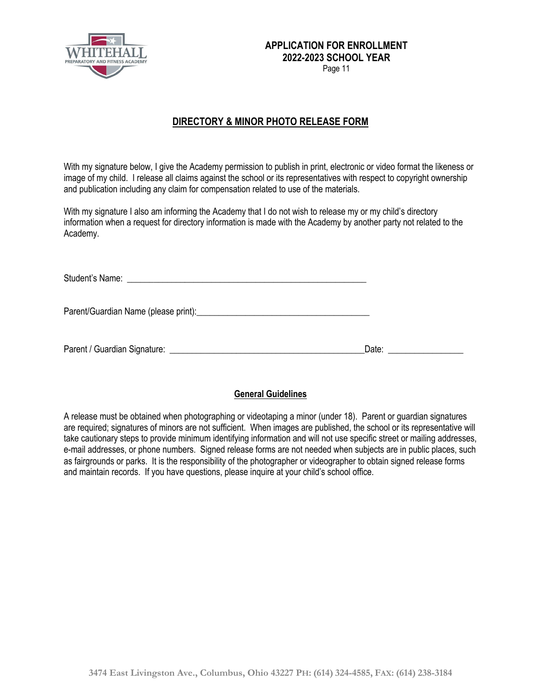

## **DIRECTORY & MINOR PHOTO RELEASE FORM**

With my signature below, I give the Academy permission to publish in print, electronic or video format the likeness or image of my child. I release all claims against the school or its representatives with respect to copyright ownership and publication including any claim for compensation related to use of the materials.

With my signature I also am informing the Academy that I do not wish to release my or my child's directory information when a request for directory information is made with the Academy by another party not related to the Academy.

| Date: the contract of the contract of the contract of the contract of the contract of the contract of the contract of the contract of the contract of the contract of the contract of the contract of the contract of the cont |
|--------------------------------------------------------------------------------------------------------------------------------------------------------------------------------------------------------------------------------|

#### **General Guidelines**

A release must be obtained when photographing or videotaping a minor (under 18). Parent or guardian signatures are required; signatures of minors are not sufficient. When images are published, the school or its representative will take cautionary steps to provide minimum identifying information and will not use specific street or mailing addresses, e-mail addresses, or phone numbers. Signed release forms are not needed when subjects are in public places, such as fairgrounds or parks. It is the responsibility of the photographer or videographer to obtain signed release forms and maintain records. If you have questions, please inquire at your child's school office.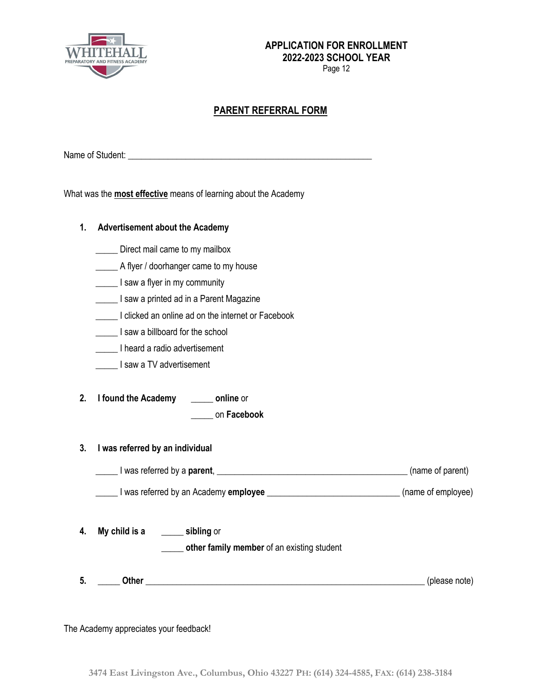

Page 12

## **PARENT REFERRAL FORM**

Name of Student: \_\_\_\_\_\_\_\_\_\_\_\_\_\_\_\_\_\_\_\_\_\_\_\_\_\_\_\_\_\_\_\_\_\_\_\_\_\_\_\_\_\_\_\_\_\_\_\_\_\_\_\_\_\_\_

What was the **most effective** means of learning about the Academy

| 1.       | <b>Advertisement about the Academy</b>                                                                                                                                         |               |  |  |
|----------|--------------------------------------------------------------------------------------------------------------------------------------------------------------------------------|---------------|--|--|
|          | Direct mail came to my mailbox                                                                                                                                                 |               |  |  |
|          | A flyer / doorhanger came to my house                                                                                                                                          |               |  |  |
|          | I saw a flyer in my community                                                                                                                                                  |               |  |  |
|          | I saw a printed ad in a Parent Magazine                                                                                                                                        |               |  |  |
|          | I clicked an online ad on the internet or Facebook                                                                                                                             |               |  |  |
|          | I saw a billboard for the school                                                                                                                                               |               |  |  |
|          | I heard a radio advertisement                                                                                                                                                  |               |  |  |
|          | I saw a TV advertisement                                                                                                                                                       |               |  |  |
| 2.<br>3. | I found the Academy _______ online or<br>on Facebook<br>I was referred by an individual<br>I was referred by a parent, <u>I example and the set of parent</u> (name of parent) |               |  |  |
|          | I was referred by an Academy employee _________________________________(name of employee)                                                                                      |               |  |  |
| 4.       | My child is a sibling or<br>other family member of an existing student                                                                                                         |               |  |  |
| 5.       |                                                                                                                                                                                | (please note) |  |  |

The Academy appreciates your feedback!